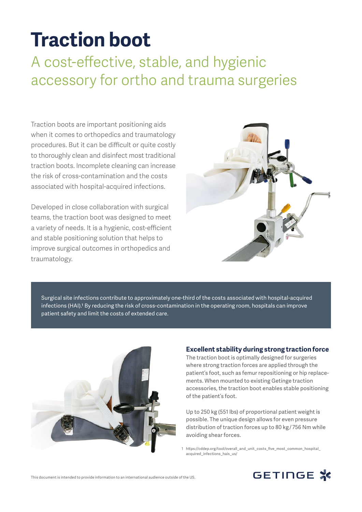# **Traction boot**

# A cost-effective, stable, and hygienic accessory for ortho and trauma surgeries

Traction boots are important positioning aids when it comes to orthopedics and traumatology procedures. But it can be difficult or quite costly to thoroughly clean and disinfect most traditional traction boots. Incomplete cleaning can increase the risk of cross-contamination and the costs associated with hospital-acquired infections.

Developed in close collaboration with surgical teams, the traction boot was designed to meet a variety of needs. It is a hygienic, cost-efficient and stable positioning solution that helps to improve surgical outcomes in orthopedics and traumatology.



Surgical site infections contribute to approximately one-third of the costs associated with hospital-acquired infections (HAI).1 By reducing the risk of cross-contamination in the operating room, hospitals can improve patient safety and limit the costs of extended care.



#### **Excellent stability during strong traction force**

The traction boot is optimally designed for surgeries where strong traction forces are applied through the patient's foot, such as femur repositioning or hip replacements. When mounted to existing Getinge traction accessories, the traction boot enables stable positioning of the patient's foot.

Up to 250 kg (551 lbs) of proportional patient weight is possible. The unique design allows for even pressure distribution of traction forces up to 80 kg / 756 Nm while avoiding shear forces.

1 https://cddep.org/tool/overall\_and\_unit\_costs\_five\_most\_common\_hospital\_ acquired infections hais us/